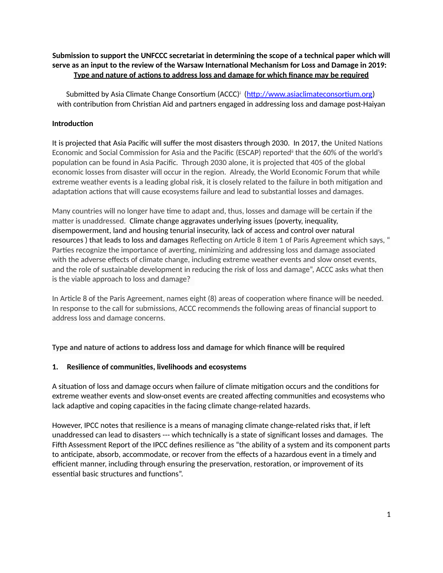# **Submission to support the UNFCCC secretariat in determining the scope of a technical paper which will serve as an input to the review of the Warsaw International Mechanism for Loss and Damage in 2019: Type and nature of actions to address loss and damage for which finance may be required**

Submitted by Asia Climate Change Consortium (ACCC)' (<u>http://www.asiaclimateconsortium.org</u>) with contribution from Christian Aid and partners engaged in addressing loss and damage post-Haiyan

### **Introduction**

It is projected that Asia Pacific will suffer the most disasters through 2030. In 2017, the United Nations Economic and Social Commission for Asia and the Pacific (ESCAP) reportedii that the 60% of the world's population can be found in Asia Pacific. Through 2030 alone, it is projected that 405 of the global economic losses from disaster will occur in the region. Already, the World Economic Forum that while extreme weather events is a leading global risk, it is closely related to the failure in both mitigation and adaptation actions that will cause ecosystems failure and lead to substantial losses and damages.

Many countries will no longer have time to adapt and, thus, losses and damage will be certain if the matter is unaddressed. Climate change aggravates underlying issues (poverty, inequality, disempowerment, land and housing tenurial insecurity, lack of access and control over natural resources ) that leads to loss and damages Reflecting on Article 8 item 1 of Paris Agreement which says, " Parties recognize the importance of averting, minimizing and addressing loss and damage associated with the adverse effects of climate change, including extreme weather events and slow onset events, and the role of sustainable development in reducing the risk of loss and damage", ACCC asks what then is the viable approach to loss and damage?

In Article 8 of the Paris Agreement, names eight (8) areas of cooperation where finance will be needed. In response to the call for submissions, ACCC recommends the following areas of financial support to address loss and damage concerns.

## **Type and nature of actions to address loss and damage for which finance will be required**

#### **1. Resilience of communities, livelihoods and ecosystems**

A situation of loss and damage occurs when failure of climate mitigation occurs and the conditions for extreme weather events and slow-onset events are created affecting communities and ecosystems who lack adaptive and coping capacities in the facing climate change-related hazards.

However, IPCC notes that resilience is a means of managing climate change-related risks that, if left unaddressed can lead to disasters --- which technically is a state of significant losses and damages. The Fifth Assessment Report of the IPCC defines resilience as "the ability of a system and its component parts to anticipate, absorb, accommodate, or recover from the effects of a hazardous event in a timely and efficient manner, including through ensuring the preservation, restoration, or improvement of its essential basic structures and functions".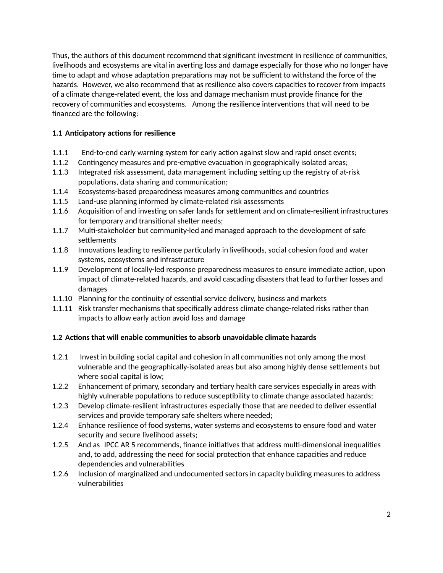Thus, the authors of this document recommend that significant investment in resilience of communities, livelihoods and ecosystems are vital in averting loss and damage especially for those who no longer have time to adapt and whose adaptation preparations may not be sufficient to withstand the force of the hazards. However, we also recommend that as resilience also covers capacities to recover from impacts of a climate change-related event, the loss and damage mechanism must provide finance for the recovery of communities and ecosystems. Among the resilience interventions that will need to be financed are the following:

# **1.1 Anticipatory actions for resilience**

- 1.1.1 End-to-end early warning system for early action against slow and rapid onset events;
- 1.1.2 Contingency measures and pre-emptive evacuation in geographically isolated areas;
- 1.1.3 Integrated risk assessment, data management including setting up the registry of at-risk populations, data sharing and communication;
- 1.1.4 Ecosystems-based preparedness measures among communities and countries
- 1.1.5 Land-use planning informed by climate-related risk assessments
- 1.1.6 Acquisition of and investing on safer lands for settlement and on climate-resilient infrastructures for temporary and transitional shelter needs;
- 1.1.7 Multi-stakeholder but community-led and managed approach to the development of safe settlements
- 1.1.8 Innovations leading to resilience particularly in livelihoods, social cohesion food and water systems, ecosystems and infrastructure
- 1.1.9 Development of locally-led response preparedness measures to ensure immediate action, upon impact of climate-related hazards, and avoid cascading disasters that lead to further losses and damages
- 1.1.10 Planning for the continuity of essential service delivery, business and markets
- 1.1.11 Risk transfer mechanisms that specifically address climate change-related risks rather than impacts to allow early action avoid loss and damage

## **1.2 Actions that will enable communities to absorb unavoidable climate hazards**

- 1.2.1 Invest in building social capital and cohesion in all communities not only among the most vulnerable and the geographically-isolated areas but also among highly dense settlements but where social capital is low;
- 1.2.2 Enhancement of primary, secondary and tertiary health care services especially in areas with highly vulnerable populations to reduce susceptibility to climate change associated hazards;
- 1.2.3 Develop climate-resilient infrastructures especially those that are needed to deliver essential services and provide temporary safe shelters where needed;
- 1.2.4 Enhance resilience of food systems, water systems and ecosystems to ensure food and water security and secure livelihood assets;
- 1.2.5 And as IPCC AR 5 recommends, finance initiatives that address multi-dimensional inequalities and, to add, addressing the need for social protection that enhance capacities and reduce dependencies and vulnerabilities
- 1.2.6 Inclusion of marginalized and undocumented sectors in capacity building measures to address vulnerabilities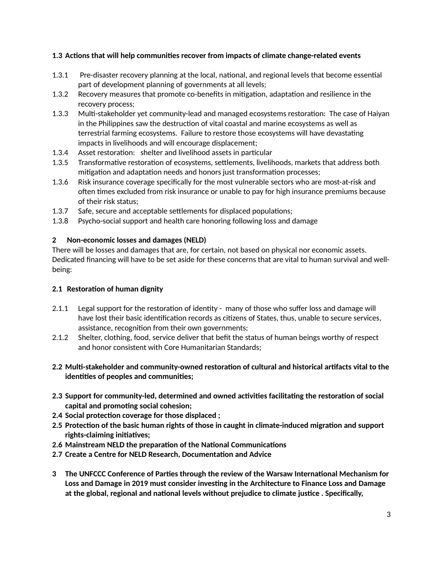# **1.3 Actions that will help communities recover from impacts of climate change-related events**

- 1.3.1 Pre-disaster recovery planning at the local, national, and regional levels that become essential part of development planning of governments at all levels;
- 1.3.2 Recovery measures that promote co-benefits in mitigation, adaptation and resilience in the recovery process;
- 1.3.3 Multi-stakeholder yet community-lead and managed ecosystems restoration: The case of Haiyan in the Philippines saw the destruction of vital coastal and marine ecosystems as well as terrestrial farming ecosystems. Failure to restore those ecosystems will have devastating impacts in livelihoods and will encourage displacement;
- 1.3.4 Asset restoration: shelter and livelihood assets in particular
- 1.3.5 Transformative restoration of ecosystems, settlements, livelihoods, markets that address both mitigation and adaptation needs and honors just transformation processes;
- 1.3.6 Risk insurance coverage specifically for the most vulnerable sectors who are most-at-risk and often times excluded from risk insurance or unable to pay for high insurance premiums because of their risk status;
- 1.3.7 Safe, secure and acceptable settlements for displaced populations;
- 1.3.8 Psycho-social support and health care honoring following loss and damage

#### **2 Non-economic losses and damages (NELD)**

There will be losses and damages that are, for certain, not based on physical nor economic assets. Dedicated financing will have to be set aside for these concerns that are vital to human survival and wellbeing:

#### **2.1 Restoration of human dignity**

- 2.1.1 Legal support for the restoration of identity many of those who suffer loss and damage will have lost their basic identification records as citizens of States, thus, unable to secure services, assistance, recognition from their own governments;
- 2.1.2 Shelter, clothing, food, service deliver that befit the status of human beings worthy of respect and honor consistent with Core Humanitarian Standards;
- **2.2 Multi-stakeholder and community-owned restoration of cultural and historical artifacts vital to the identities of peoples and communities;**
- **2.3 Support for community-led, determined and owned activities facilitating the restoration of social capital and promoting social cohesion;**
- **2.4 Social protection coverage for those displaced ;**
- **2.5 Protection of the basic human rights of those in caught in climate-induced migration and support rights-claiming initiatives;**
- **2.6 Mainstream NELD the preparation of the National Communications**
- **2.7 Create a Centre for NELD Research, Documentation and Advice**
- **3 The UNFCCC Conference of Parties through the review of the Warsaw International Mechanism for Loss and Damage in 2019 must consider investing in the Architecture to Finance Loss and Damage at the global, regional and national levels without prejudice to climate justice . Specifically,**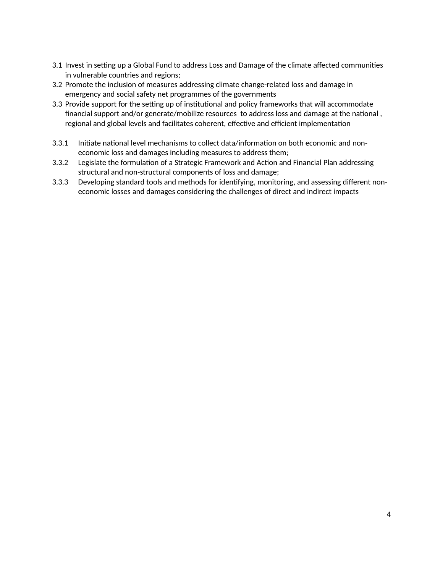- 3.1 Invest in setting up a Global Fund to address Loss and Damage of the climate affected communities in vulnerable countries and regions;
- 3.2 Promote the inclusion of measures addressing climate change-related loss and damage in emergency and social safety net programmes of the governments
- 3.3 Provide support for the setting up of institutional and policy frameworks that will accommodate financial support and/or generate/mobilize resources to address loss and damage at the national , regional and global levels and facilitates coherent, effective and efficient implementation
- 3.3.1 Initiate national level mechanisms to collect data/information on both economic and noneconomic loss and damages including measures to address them;
- 3.3.2 Legislate the formulation of a Strategic Framework and Action and Financial Plan addressing structural and non-structural components of loss and damage;
- 3.3.3 Developing standard tools and methods for identifying, monitoring, and assessing different noneconomic losses and damages considering the challenges of direct and indirect impacts